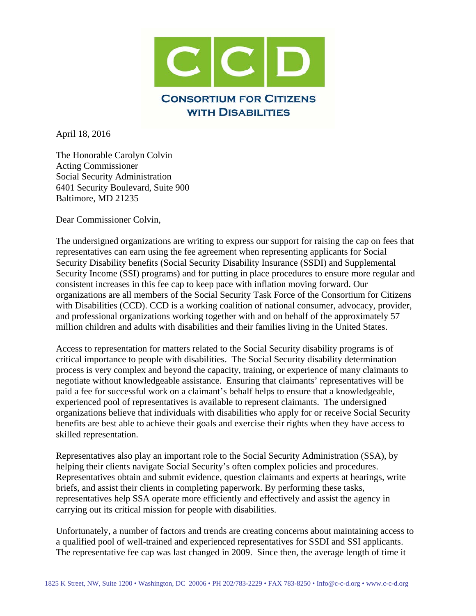

April 18, 2016

The Honorable Carolyn Colvin Acting Commissioner Social Security Administration 6401 Security Boulevard, Suite 900 Baltimore, MD 21235

Dear Commissioner Colvin,

The undersigned organizations are writing to express our support for raising the cap on fees that representatives can earn using the fee agreement when representing applicants for Social Security Disability benefits (Social Security Disability Insurance (SSDI) and Supplemental Security Income (SSI) programs) and for putting in place procedures to ensure more regular and consistent increases in this fee cap to keep pace with inflation moving forward. Our organizations are all members of the Social Security Task Force of the Consortium for Citizens with Disabilities (CCD). CCD is a working coalition of national consumer, advocacy, provider, and professional organizations working together with and on behalf of the approximately 57 million children and adults with disabilities and their families living in the United States.

Access to representation for matters related to the Social Security disability programs is of critical importance to people with disabilities. The Social Security disability determination process is very complex and beyond the capacity, training, or experience of many claimants to negotiate without knowledgeable assistance. Ensuring that claimants' representatives will be paid a fee for successful work on a claimant's behalf helps to ensure that a knowledgeable, experienced pool of representatives is available to represent claimants. The undersigned organizations believe that individuals with disabilities who apply for or receive Social Security benefits are best able to achieve their goals and exercise their rights when they have access to skilled representation.

Representatives also play an important role to the Social Security Administration (SSA), by helping their clients navigate Social Security's often complex policies and procedures. Representatives obtain and submit evidence, question claimants and experts at hearings, write briefs, and assist their clients in completing paperwork. By performing these tasks, representatives help SSA operate more efficiently and effectively and assist the agency in carrying out its critical mission for people with disabilities.

Unfortunately, a number of factors and trends are creating concerns about maintaining access to a qualified pool of well-trained and experienced representatives for SSDI and SSI applicants. The representative fee cap was last changed in 2009. Since then, the average length of time it